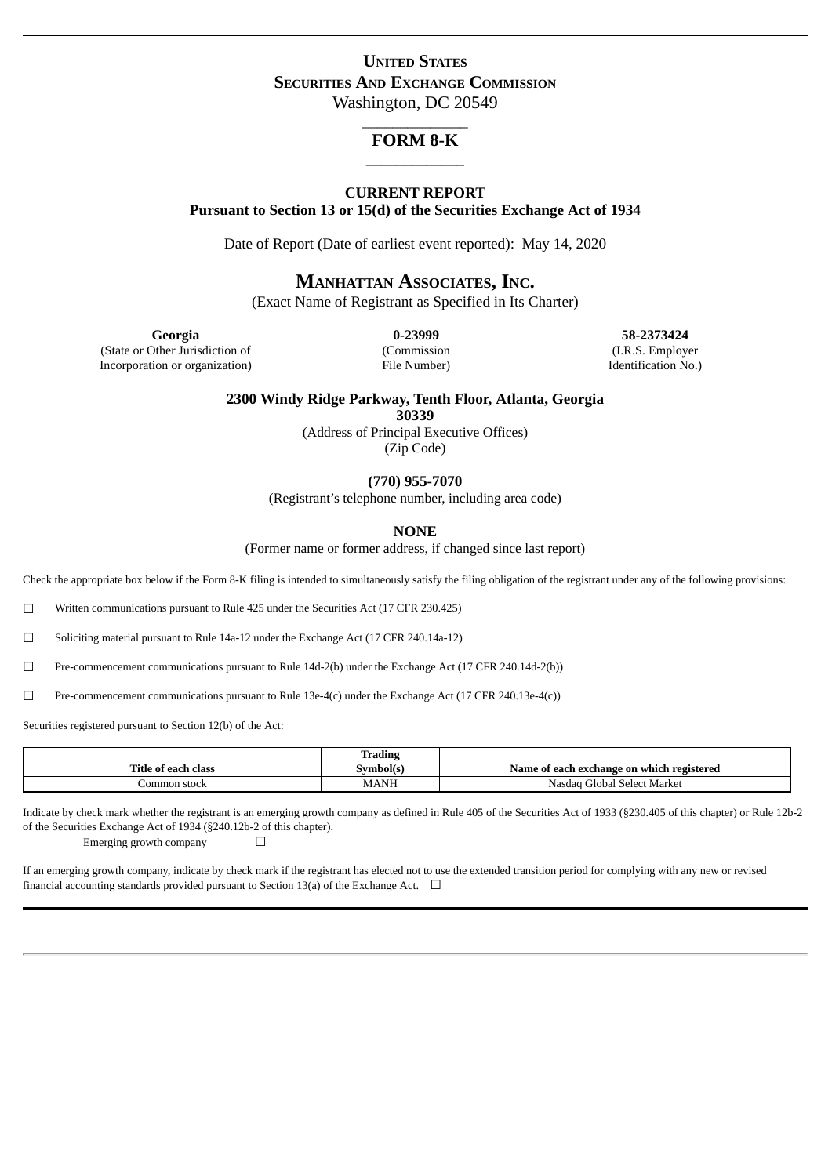# **UNITED STATES SECURITIES AND EXCHANGE COMMISSION** Washington, DC 20549

# \_\_\_\_\_\_\_\_\_\_\_\_\_\_ **FORM 8-K** \_\_\_\_\_\_\_\_\_\_\_\_\_

### **CURRENT REPORT**

**Pursuant to Section 13 or 15(d) of the Securities Exchange Act of 1934**

Date of Report (Date of earliest event reported): May 14, 2020

# **MANHATTAN ASSOCIATES, INC.**

(Exact Name of Registrant as Specified in Its Charter)

(State or Other Jurisdiction of Incorporation or organization) (Commission File Number)

**Georgia 0-23999 58-2373424** (I.R.S. Employer Identification No.)

**2300 Windy Ridge Parkway, Tenth Floor, Atlanta, Georgia**

**30339**

(Address of Principal Executive Offices) (Zip Code)

**(770) 955-7070**

(Registrant's telephone number, including area code)

**NONE**

(Former name or former address, if changed since last report)

Check the appropriate box below if the Form 8-K filing is intended to simultaneously satisfy the filing obligation of the registrant under any of the following provisions:

☐ Written communications pursuant to Rule 425 under the Securities Act (17 CFR 230.425)

☐ Soliciting material pursuant to Rule 14a-12 under the Exchange Act (17 CFR 240.14a-12)

☐ Pre-commencement communications pursuant to Rule 14d-2(b) under the Exchange Act (17 CFR 240.14d-2(b))

☐ Pre-commencement communications pursuant to Rule 13e-4(c) under the Exchange Act (17 CFR 240.13e-4(c))

Securities registered pursuant to Section 12(b) of the Act:

|                     | <b>Trading</b> |                                           |
|---------------------|----------------|-------------------------------------------|
| Title of each class | svmbol(s'      | Name of each exchange on which registered |
| Common stock        | MANH           | Global Select Market<br>Nasdag (          |

Indicate by check mark whether the registrant is an emerging growth company as defined in Rule 405 of the Securities Act of 1933 (§230.405 of this chapter) or Rule 12b-2 of the Securities Exchange Act of 1934 (§240.12b-2 of this chapter).

Emerging growth company  $\Box$ 

If an emerging growth company, indicate by check mark if the registrant has elected not to use the extended transition period for complying with any new or revised financial accounting standards provided pursuant to Section 13(a) of the Exchange Act.  $\Box$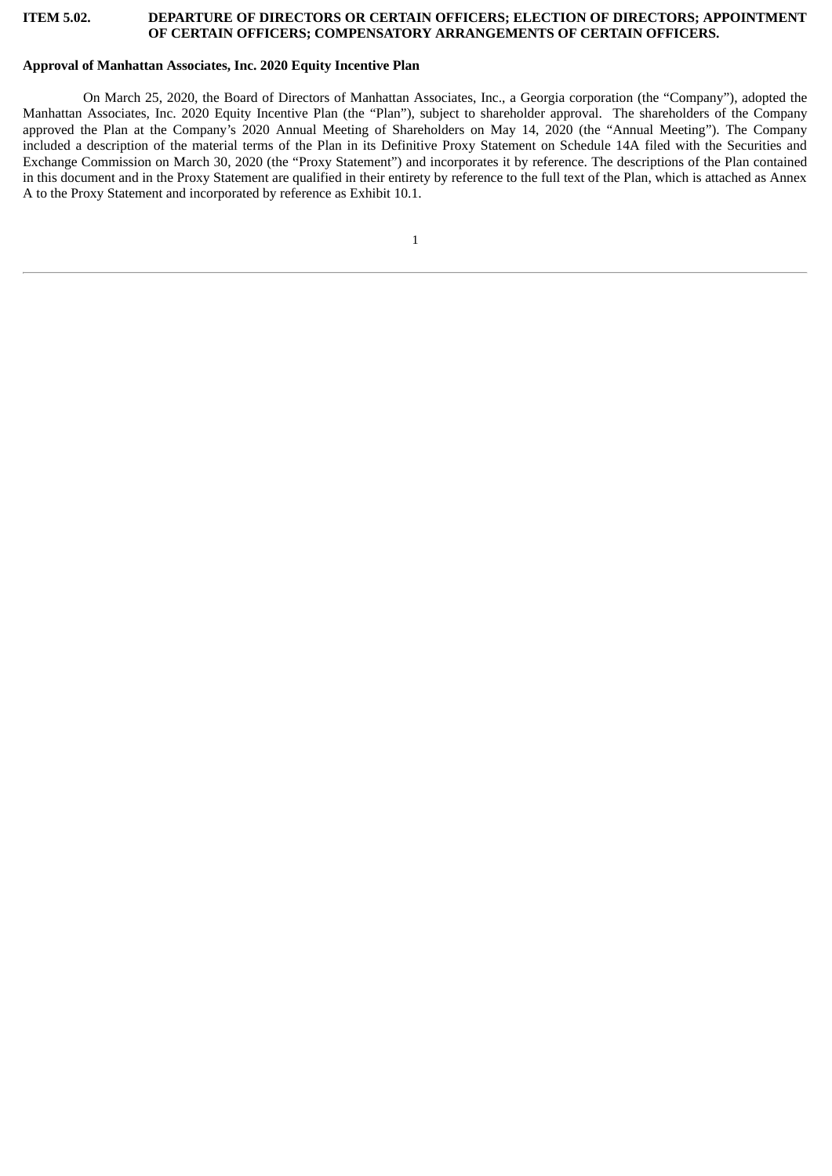#### **ITEM 5.02. DEPARTURE OF DIRECTORS OR CERTAIN OFFICERS; ELECTION OF DIRECTORS; APPOINTMENT OF CERTAIN OFFICERS; COMPENSATORY ARRANGEMENTS OF CERTAIN OFFICERS.**

#### **Approval of Manhattan Associates, Inc. 2020 Equity Incentive Plan**

On March 25, 2020, the Board of Directors of Manhattan Associates, Inc., a Georgia corporation (the "Company"), adopted the Manhattan Associates, Inc. 2020 Equity Incentive Plan (the "Plan"), subject to shareholder approval. The shareholders of the Company approved the Plan at the Company's 2020 Annual Meeting of Shareholders on May 14, 2020 (the "Annual Meeting"). The Company included a description of the material terms of the Plan in its Definitive Proxy Statement on Schedule 14A filed with the Securities and Exchange Commission on March 30, 2020 (the "Proxy Statement") and incorporates it by reference. The descriptions of the Plan contained in this document and in the Proxy Statement are qualified in their entirety by reference to the full text of the Plan, which is attached as Annex A to the Proxy Statement and incorporated by reference as Exhibit 10.1.

1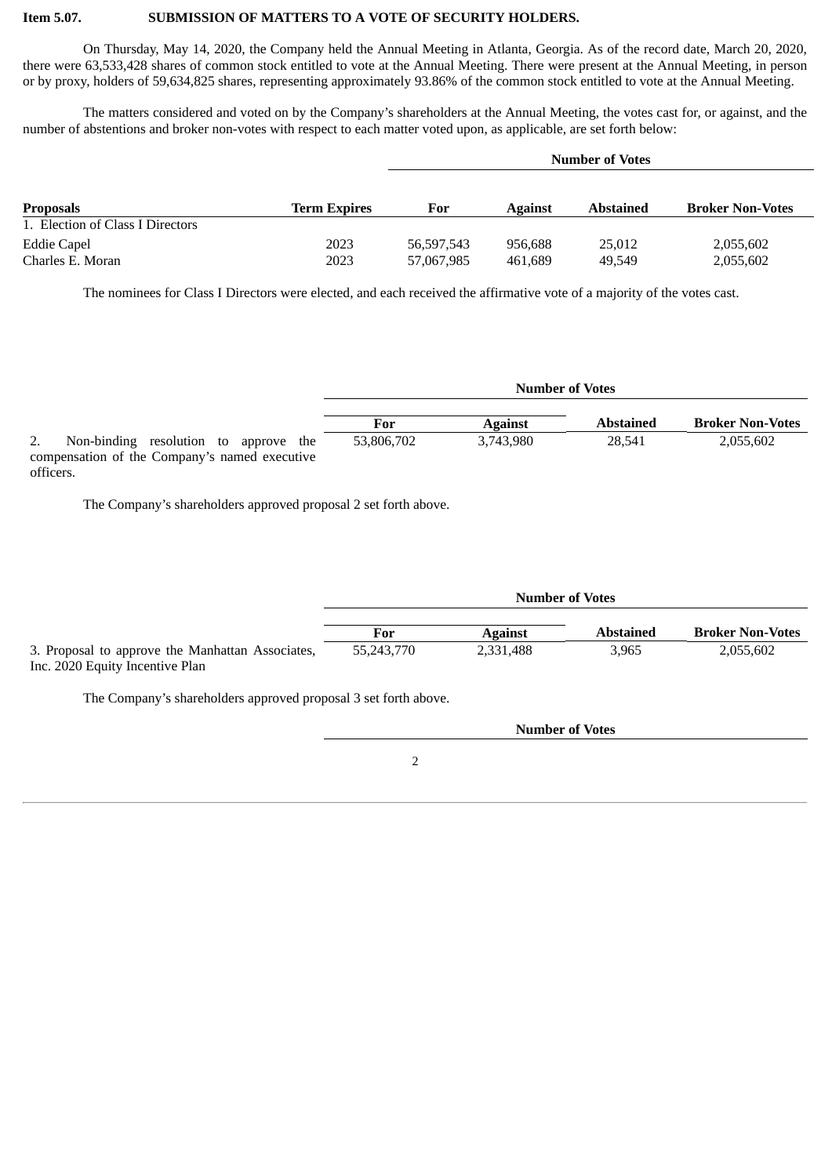# **Item 5.07. SUBMISSION OF MATTERS TO A VOTE OF SECURITY HOLDERS.**

On Thursday, May 14, 2020, the Company held the Annual Meeting in Atlanta, Georgia. As of the record date, March 20, 2020, there were 63,533,428 shares of common stock entitled to vote at the Annual Meeting. There were present at the Annual Meeting, in person or by proxy, holders of 59,634,825 shares, representing approximately 93.86% of the common stock entitled to vote at the Annual Meeting.

The matters considered and voted on by the Company's shareholders at the Annual Meeting, the votes cast for, or against, and the number of abstentions and broker non-votes with respect to each matter voted upon, as applicable, are set forth below:

|                                  |                     | <b>Number of Votes</b> |                |                  |                         |
|----------------------------------|---------------------|------------------------|----------------|------------------|-------------------------|
|                                  |                     |                        |                |                  |                         |
| <b>Proposals</b>                 | <b>Term Expires</b> | For                    | <b>Against</b> | <b>Abstained</b> | <b>Broker Non-Votes</b> |
| 1. Election of Class I Directors |                     |                        |                |                  |                         |
| Eddie Capel                      | 2023                | 56,597,543             | 956.688        | 25,012           | 2,055,602               |
| Charles E. Moran                 | 2023                | 57,067,985             | 461,689        | 49,549           | 2,055,602               |

The nominees for Class I Directors were elected, and each received the affirmative vote of a majority of the votes cast.

|                                               | <b>Number of Votes</b> |                |                  |                         |
|-----------------------------------------------|------------------------|----------------|------------------|-------------------------|
|                                               |                        |                |                  |                         |
|                                               | For                    | <b>Against</b> | <b>Abstained</b> | <b>Broker Non-Votes</b> |
| Non-binding resolution to approve the         | 53,806,702             | 3,743,980      | 28.541           | 2,055,602               |
| compensation of the Company's named executive |                        |                |                  |                         |
| officers.                                     |                        |                |                  |                         |

The Company's shareholders approved proposal 2 set forth above.

|                                                                                     | <b>Number of Votes</b> |                |                  |                         |
|-------------------------------------------------------------------------------------|------------------------|----------------|------------------|-------------------------|
|                                                                                     | For                    | <b>Against</b> | <b>Abstained</b> | <b>Broker Non-Votes</b> |
| 3. Proposal to approve the Manhattan Associates,<br>Inc. 2020 Equity Incentive Plan | 55,243,770             | 2,331,488      | 3.965            | 2,055,602               |

The Company's shareholders approved proposal 3 set forth above.

 $\overline{2}$ 

**Number of Votes**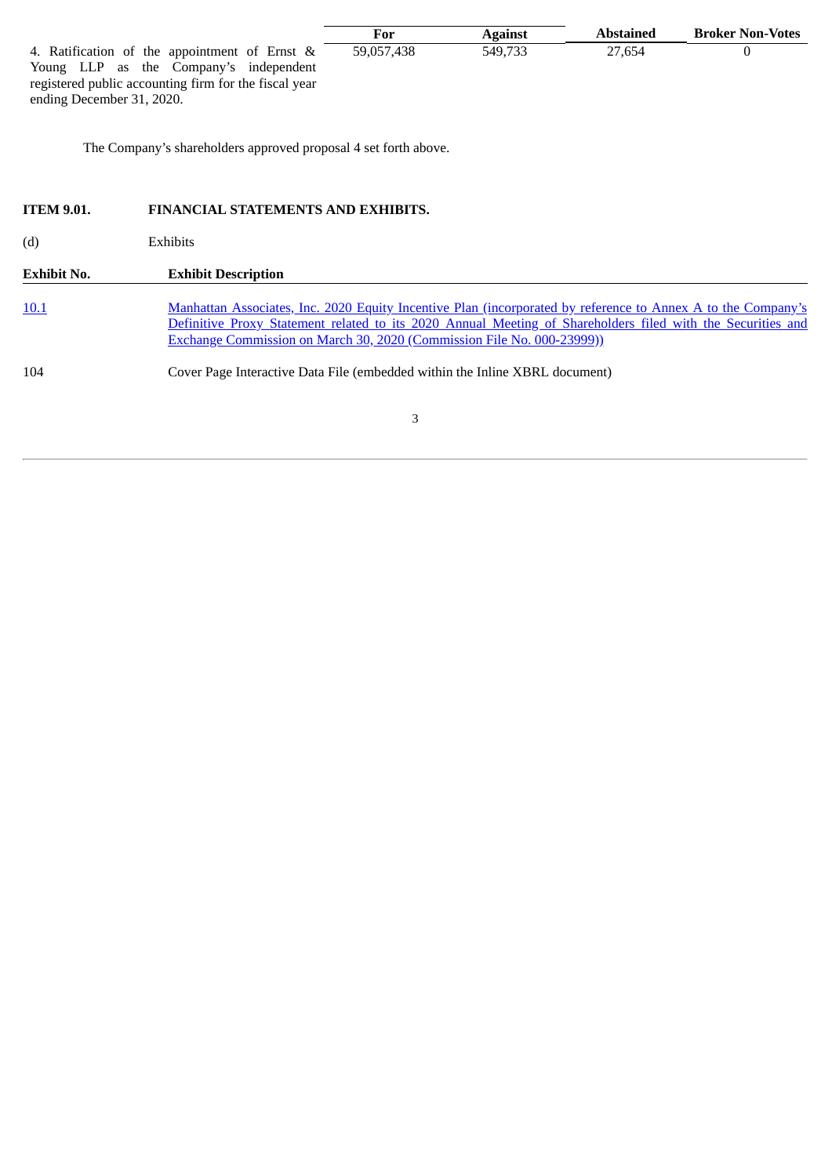|                                                       | For        | <b>Against</b> | Abstained | <b>Broker Non-Votes</b> |
|-------------------------------------------------------|------------|----------------|-----------|-------------------------|
| 4. Ratification of the appointment of Ernst &         | 59.057.438 | 549.733        | 27.654    |                         |
| Young LLP as the Company's independent                |            |                |           |                         |
| registered public accounting firm for the fiscal year |            |                |           |                         |
| ending December 31, 2020.                             |            |                |           |                         |

The Company's shareholders approved proposal 4 set forth above.

| <b>ITEM 9.01.</b> | <b>FINANCIAL STATEMENTS AND EXHIBITS.</b>                                                                                                                                                                                                                                                             |
|-------------------|-------------------------------------------------------------------------------------------------------------------------------------------------------------------------------------------------------------------------------------------------------------------------------------------------------|
| (d)               | Exhibits                                                                                                                                                                                                                                                                                              |
| Exhibit No.       | <b>Exhibit Description</b>                                                                                                                                                                                                                                                                            |
| 10.1              | Manhattan Associates, Inc. 2020 Equity Incentive Plan (incorporated by reference to Annex A to the Company's<br>Definitive Proxy Statement related to its 2020 Annual Meeting of Shareholders filed with the Securities and<br>Exchange Commission on March 30, 2020 (Commission File No. 000-23999)) |
| 104               | Cover Page Interactive Data File (embedded within the Inline XBRL document)                                                                                                                                                                                                                           |
|                   | 3                                                                                                                                                                                                                                                                                                     |